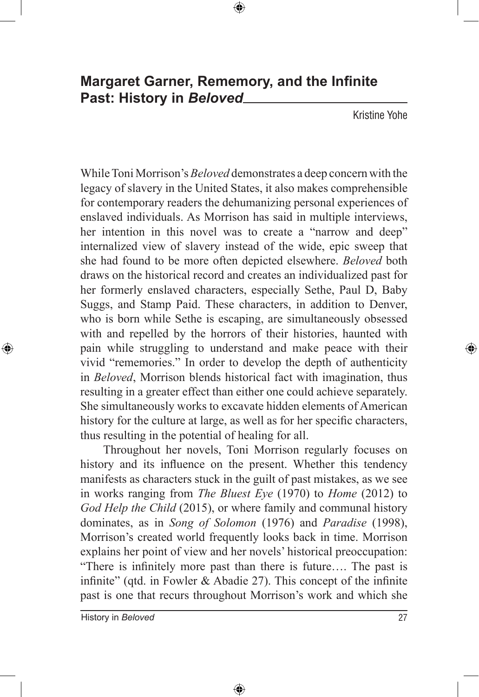## **Margaret Garner, Rememory, and the Infinite Past: History in** *Beloved*

Kristine Yohe

While Toni Morrison's *Beloved* demonstrates a deep concern with the legacy of slavery in the United States, it also makes comprehensible for contemporary readers the dehumanizing personal experiences of enslaved individuals. As Morrison has said in multiple interviews, her intention in this novel was to create a "narrow and deep" internalized view of slavery instead of the wide, epic sweep that she had found to be more often depicted elsewhere. *Beloved* both draws on the historical record and creates an individualized past for her formerly enslaved characters, especially Sethe, Paul D, Baby Suggs, and Stamp Paid. These characters, in addition to Denver, who is born while Sethe is escaping, are simultaneously obsessed with and repelled by the horrors of their histories, haunted with pain while struggling to understand and make peace with their vivid "rememories." In order to develop the depth of authenticity in *Beloved*, Morrison blends historical fact with imagination, thus resulting in a greater effect than either one could achieve separately. She simultaneously works to excavate hidden elements of American history for the culture at large, as well as for her specific characters, thus resulting in the potential of healing for all.

Throughout her novels, Toni Morrison regularly focuses on history and its influence on the present. Whether this tendency manifests as characters stuck in the guilt of past mistakes, as we see in works ranging from *The Bluest Eye* (1970) to *Home* (2012) to *God Help the Child* (2015), or where family and communal history dominates, as in *Song of Solomon* (1976) and *Paradise* (1998), Morrison's created world frequently looks back in time. Morrison explains her point of view and her novels' historical preoccupation: "There is infinitely more past than there is future…. The past is infinite" (qtd. in Fowler & Abadie 27). This concept of the infinite past is one that recurs throughout Morrison's work and which she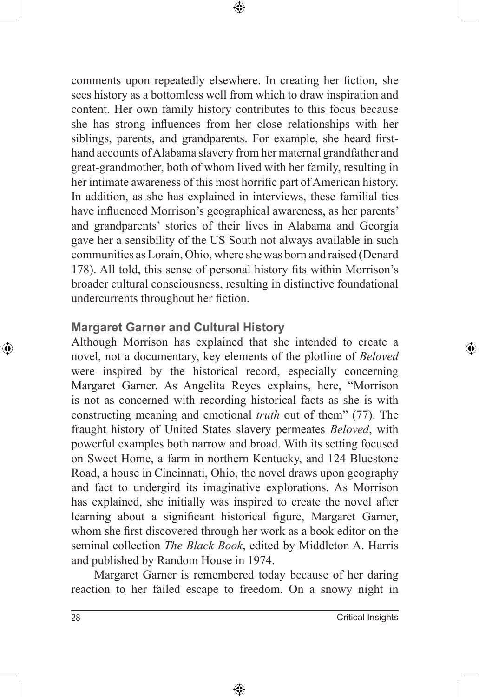comments upon repeatedly elsewhere. In creating her fiction, she sees history as a bottomless well from which to draw inspiration and content. Her own family history contributes to this focus because she has strong influences from her close relationships with her siblings, parents, and grandparents. For example, she heard firsthand accounts of Alabama slavery from her maternal grandfather and great-grandmother, both of whom lived with her family, resulting in her intimate awareness of this most horrific part of American history. In addition, as she has explained in interviews, these familial ties have influenced Morrison's geographical awareness, as her parents' and grandparents' stories of their lives in Alabama and Georgia gave her a sensibility of the US South not always available in such communities as Lorain, Ohio, where she was born and raised (Denard 178). All told, this sense of personal history fits within Morrison's broader cultural consciousness, resulting in distinctive foundational undercurrents throughout her fiction.

## **Margaret Garner and Cultural History**

Although Morrison has explained that she intended to create a novel, not a documentary, key elements of the plotline of *Beloved* were inspired by the historical record, especially concerning Margaret Garner. As Angelita Reyes explains, here, "Morrison is not as concerned with recording historical facts as she is with constructing meaning and emotional *truth* out of them" (77). The fraught history of United States slavery permeates *Beloved*, with powerful examples both narrow and broad. With its setting focused on Sweet Home, a farm in northern Kentucky, and 124 Bluestone Road, a house in Cincinnati, Ohio, the novel draws upon geography and fact to undergird its imaginative explorations. As Morrison has explained, she initially was inspired to create the novel after learning about a significant historical figure, Margaret Garner, whom she first discovered through her work as a book editor on the seminal collection *The Black Book*, edited by Middleton A. Harris and published by Random House in 1974.

Margaret Garner is remembered today because of her daring reaction to her failed escape to freedom. On a snowy night in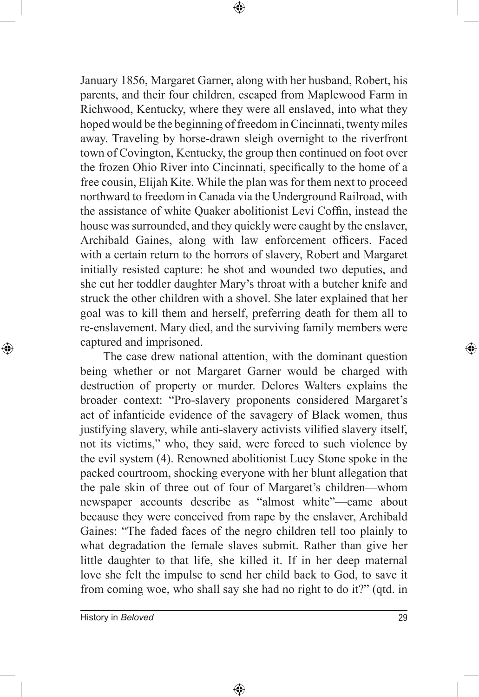January 1856, Margaret Garner, along with her husband, Robert, his parents, and their four children, escaped from Maplewood Farm in Richwood, Kentucky, where they were all enslaved, into what they hoped would be the beginning of freedom in Cincinnati, twenty miles away. Traveling by horse-drawn sleigh overnight to the riverfront town of Covington, Kentucky, the group then continued on foot over the frozen Ohio River into Cincinnati, specifically to the home of a free cousin, Elijah Kite. While the plan was for them next to proceed northward to freedom in Canada via the Underground Railroad, with the assistance of white Quaker abolitionist Levi Coffin, instead the house was surrounded, and they quickly were caught by the enslaver, Archibald Gaines, along with law enforcement officers. Faced with a certain return to the horrors of slavery, Robert and Margaret initially resisted capture: he shot and wounded two deputies, and she cut her toddler daughter Mary's throat with a butcher knife and struck the other children with a shovel. She later explained that her goal was to kill them and herself, preferring death for them all to re-enslavement. Mary died, and the surviving family members were captured and imprisoned.

The case drew national attention, with the dominant question being whether or not Margaret Garner would be charged with destruction of property or murder. Delores Walters explains the broader context: "Pro-slavery proponents considered Margaret's act of infanticide evidence of the savagery of Black women, thus justifying slavery, while anti-slavery activists vilified slavery itself, not its victims," who, they said, were forced to such violence by the evil system (4). Renowned abolitionist Lucy Stone spoke in the packed courtroom, shocking everyone with her blunt allegation that the pale skin of three out of four of Margaret's children—whom newspaper accounts describe as "almost white"—came about because they were conceived from rape by the enslaver, Archibald Gaines: "The faded faces of the negro children tell too plainly to what degradation the female slaves submit. Rather than give her little daughter to that life, she killed it. If in her deep maternal love she felt the impulse to send her child back to God, to save it from coming woe, who shall say she had no right to do it?" (qtd. in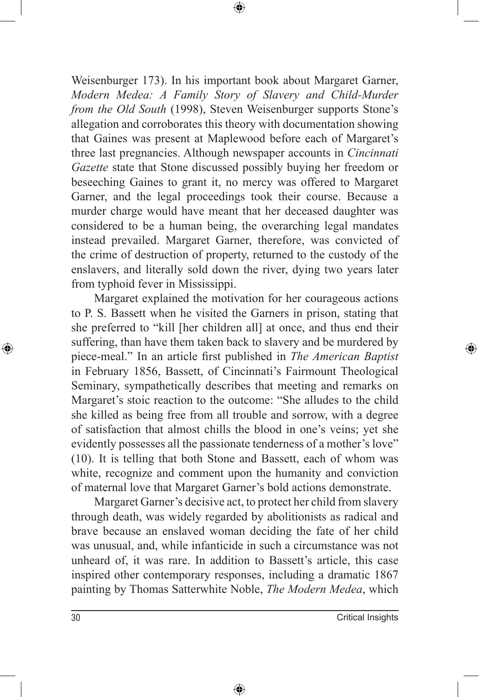Weisenburger 173). In his important book about Margaret Garner, *Modern Medea: A Family Story of Slavery and Child-Murder from the Old South* (1998), Steven Weisenburger supports Stone's allegation and corroborates this theory with documentation showing that Gaines was present at Maplewood before each of Margaret's three last pregnancies. Although newspaper accounts in *Cincinnati Gazette* state that Stone discussed possibly buying her freedom or beseeching Gaines to grant it, no mercy was offered to Margaret Garner, and the legal proceedings took their course. Because a murder charge would have meant that her deceased daughter was considered to be a human being, the overarching legal mandates instead prevailed. Margaret Garner, therefore, was convicted of the crime of destruction of property, returned to the custody of the enslavers, and literally sold down the river, dying two years later from typhoid fever in Mississippi.

Margaret explained the motivation for her courageous actions to P. S. Bassett when he visited the Garners in prison, stating that she preferred to "kill [her children all] at once, and thus end their suffering, than have them taken back to slavery and be murdered by piece-meal." In an article first published in *The American Baptist* in February 1856, Bassett, of Cincinnati's Fairmount Theological Seminary, sympathetically describes that meeting and remarks on Margaret's stoic reaction to the outcome: "She alludes to the child she killed as being free from all trouble and sorrow, with a degree of satisfaction that almost chills the blood in one's veins; yet she evidently possesses all the passionate tenderness of a mother's love" (10). It is telling that both Stone and Bassett, each of whom was white, recognize and comment upon the humanity and conviction of maternal love that Margaret Garner's bold actions demonstrate.

Margaret Garner's decisive act, to protect her child from slavery through death, was widely regarded by abolitionists as radical and brave because an enslaved woman deciding the fate of her child was unusual, and, while infanticide in such a circumstance was not unheard of, it was rare. In addition to Bassett's article, this case inspired other contemporary responses, including a dramatic 1867 painting by Thomas Satterwhite Noble, *The Modern Medea*, which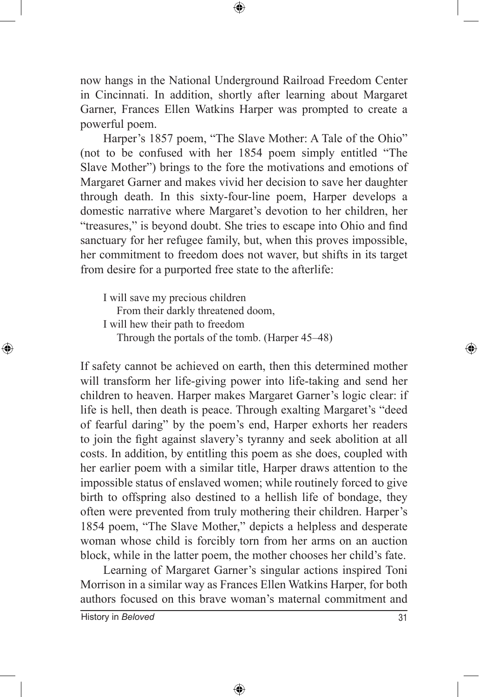now hangs in the National Underground Railroad Freedom Center in Cincinnati. In addition, shortly after learning about Margaret Garner, Frances Ellen Watkins Harper was prompted to create a powerful poem.

Harper's 1857 poem, "The Slave Mother: A Tale of the Ohio" (not to be confused with her 1854 poem simply entitled "The Slave Mother") brings to the fore the motivations and emotions of Margaret Garner and makes vivid her decision to save her daughter through death. In this sixty-four-line poem, Harper develops a domestic narrative where Margaret's devotion to her children, her "treasures," is beyond doubt. She tries to escape into Ohio and find sanctuary for her refugee family, but, when this proves impossible, her commitment to freedom does not waver, but shifts in its target from desire for a purported free state to the afterlife:

I will save my precious children From their darkly threatened doom, I will hew their path to freedom Through the portals of the tomb. (Harper 45–48)

If safety cannot be achieved on earth, then this determined mother will transform her life-giving power into life-taking and send her children to heaven. Harper makes Margaret Garner's logic clear: if life is hell, then death is peace. Through exalting Margaret's "deed of fearful daring" by the poem's end, Harper exhorts her readers to join the fight against slavery's tyranny and seek abolition at all costs. In addition, by entitling this poem as she does, coupled with her earlier poem with a similar title, Harper draws attention to the impossible status of enslaved women; while routinely forced to give birth to offspring also destined to a hellish life of bondage, they often were prevented from truly mothering their children. Harper's 1854 poem, "The Slave Mother," depicts a helpless and desperate woman whose child is forcibly torn from her arms on an auction block, while in the latter poem, the mother chooses her child's fate.

Learning of Margaret Garner's singular actions inspired Toni Morrison in a similar way as Frances Ellen Watkins Harper, for both authors focused on this brave woman's maternal commitment and